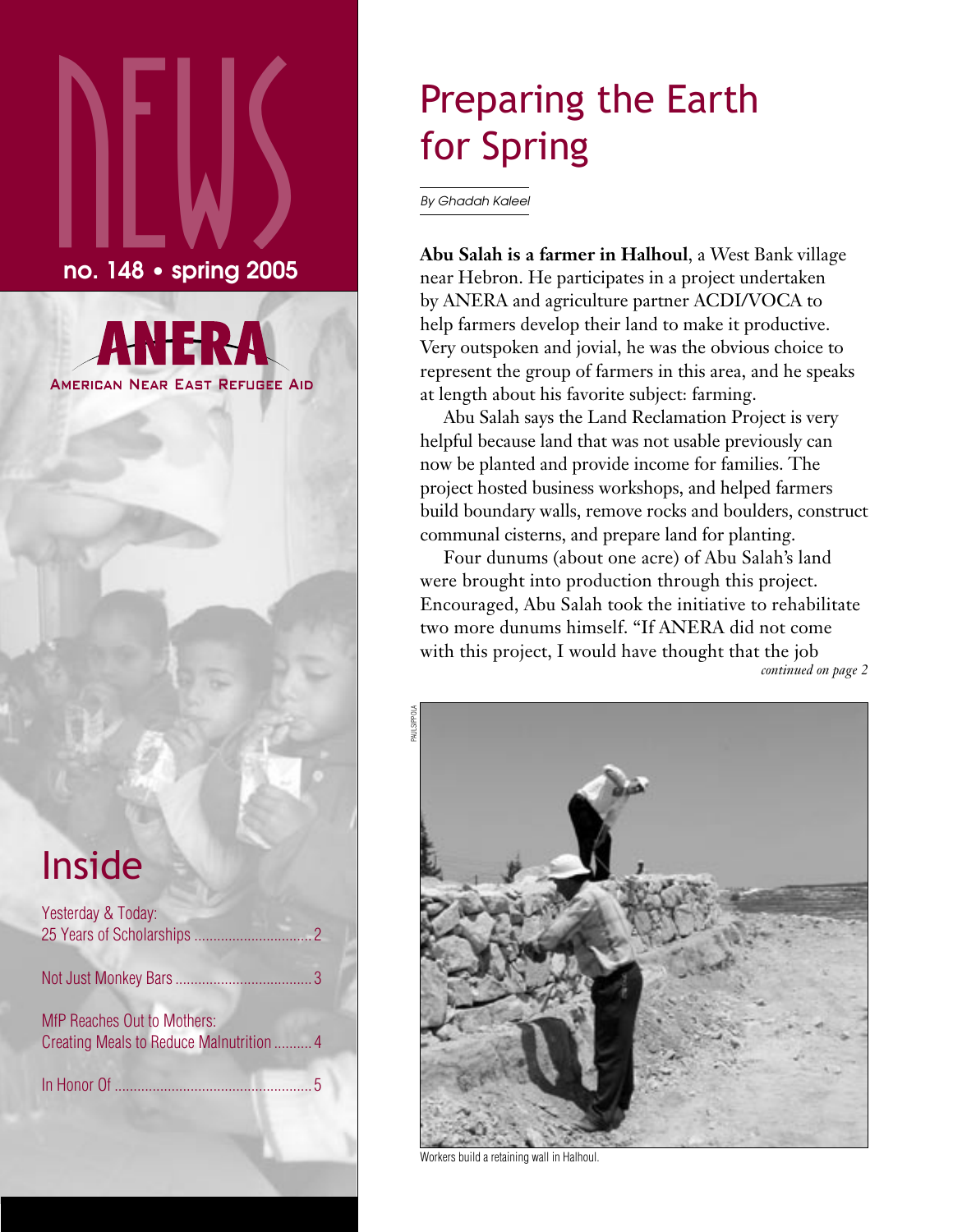# $\sum_{\text{no. 148}}$ no. 148 • spring 2005

**AMERICAN NEAR EAST REFUGEE AID** 

## Inside

| Yesterday & Today:                                                      |  |
|-------------------------------------------------------------------------|--|
|                                                                         |  |
| MfP Reaches Out to Mothers:<br>Creating Meals to Reduce Malnutrition  4 |  |
|                                                                         |  |
|                                                                         |  |

## Preparing the Earth for Spring

By Ghadah Kaleel

**Abu Salah is a farmer in Halhoul**, a West Bank village near Hebron. He participates in a project undertaken by ANERA and agriculture partner ACDI/VOCA to help farmers develop their land to make it productive. Very outspoken and jovial, he was the obvious choice to represent the group of farmers in this area, and he speaks at length about his favorite subject: farming.

Abu Salah says the Land Reclamation Project is very helpful because land that was not usable previously can now be planted and provide income for families. The project hosted business workshops, and helped farmers build boundary walls, remove rocks and boulders, construct communal cisterns, and prepare land for planting.

Four dunums (about one acre) of Abu Salah's land were brought into production through this project. Encouraged, Abu Salah took the initiative to rehabilitate two more dunums himself. "If ANERA did not come with this project, I would have thought that the job





Workers build a retaining wall in Halhoul.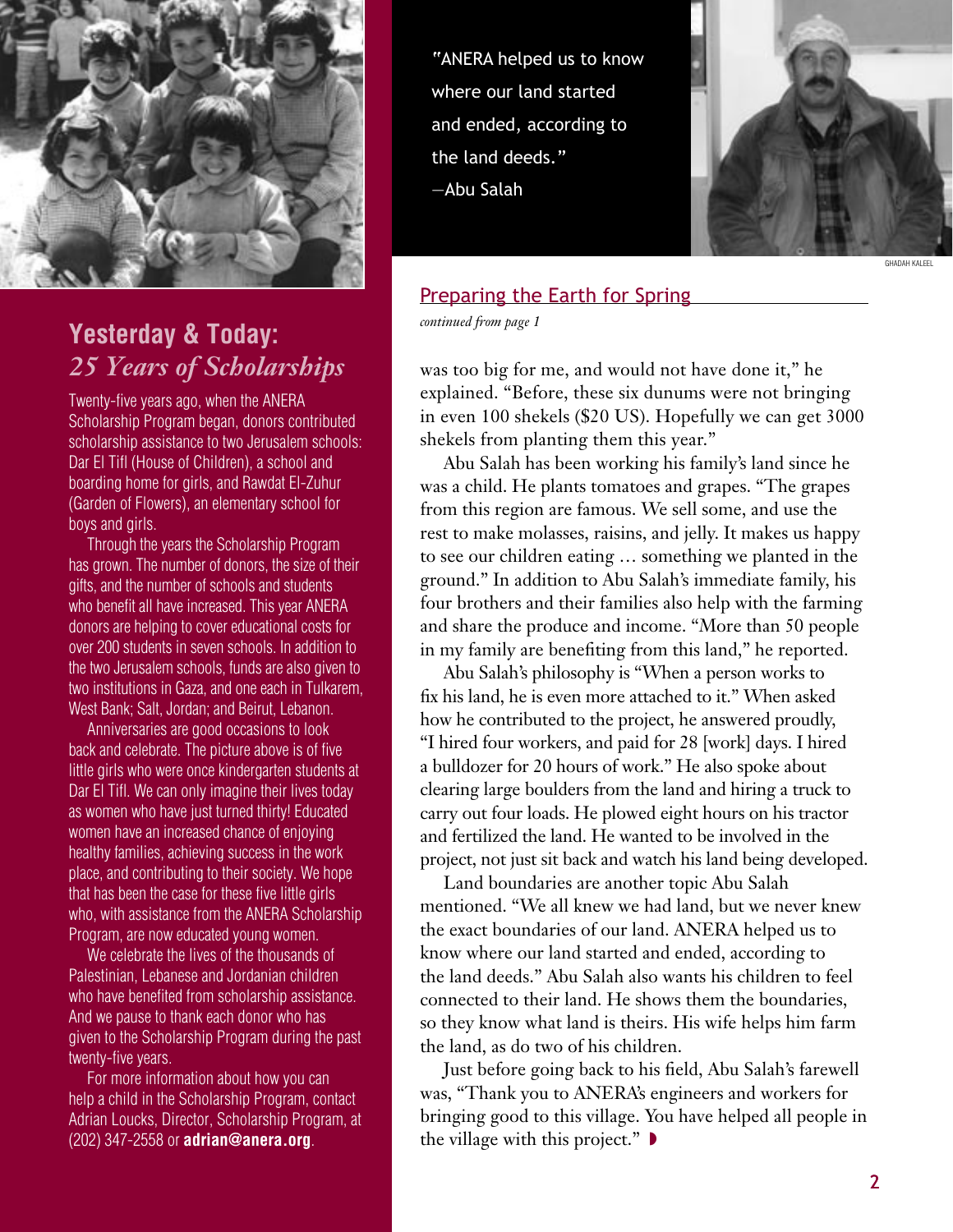

## *continued from page 1* **Yesterday & Today:** *25 Years of Scholarships*

Twenty-five years ago, when the ANERA Scholarship Program began, donors contributed scholarship assistance to two Jerusalem schools: Dar El Tifl (House of Children), a school and boarding home for girls, and Rawdat El-Zuhur (Garden of Flowers), an elementary school for boys and girls.

Through the years the Scholarship Program has grown. The number of donors, the size of their gifts, and the number of schools and students who benefit all have increased. This year ANERA donors are helping to cover educational costs for over 200 students in seven schools. In addition to the two Jerusalem schools, funds are also given to two institutions in Gaza, and one each in Tulkarem, West Bank; Salt, Jordan; and Beirut, Lebanon.

Anniversaries are good occasions to look back and celebrate. The picture above is of five little girls who were once kindergarten students at Dar El Tifl. We can only imagine their lives today as women who have just turned thirty! Educated women have an increased chance of enjoying healthy families, achieving success in the work place, and contributing to their society. We hope that has been the case for these five little girls who, with assistance from the ANERA Scholarship Program, are now educated young women.

We celebrate the lives of the thousands of Palestinian, Lebanese and Jordanian children who have benefited from scholarship assistance. And we pause to thank each donor who has given to the Scholarship Program during the past twenty-five years.

For more information about how you can help a child in the Scholarship Program, contact Adrian Loucks, Director, Scholarship Program, at (202) 347-2558 or **adrian@anera.org**.

"ANERA helped us to know where our land started and ended, according to the land deeds." —Abu Salah



#### Preparing the Earth for Spring

was too big for me, and would not have done it," he explained. "Before, these six dunums were not bringing in even 100 shekels (\$20 US). Hopefully we can get 3000 shekels from planting them this year."

Abu Salah has been working his family's land since he was a child. He plants tomatoes and grapes. "The grapes from this region are famous. We sell some, and use the rest to make molasses, raisins, and jelly. It makes us happy to see our children eating … something we planted in the ground." In addition to Abu Salah's immediate family, his four brothers and their families also help with the farming and share the produce and income. "More than 50 people in my family are benefiting from this land," he reported.

Abu Salah's philosophy is "When a person works to fix his land, he is even more attached to it." When asked how he contributed to the project, he answered proudly, "I hired four workers, and paid for 28 [work] days. I hired a bulldozer for 20 hours of work." He also spoke about clearing large boulders from the land and hiring a truck to carry out four loads. He plowed eight hours on his tractor and fertilized the land. He wanted to be involved in the project, not just sit back and watch his land being developed.

Land boundaries are another topic Abu Salah mentioned. "We all knew we had land, but we never knew the exact boundaries of our land. ANERA helped us to know where our land started and ended, according to the land deeds." Abu Salah also wants his children to feel connected to their land. He shows them the boundaries, so they know what land is theirs. His wife helps him farm the land, as do two of his children.

Just before going back to his field, Abu Salah's farewell was, "Thank you to ANERA's engineers and workers for bringing good to this village. You have helped all people in the village with this project."  $\blacktriangleright$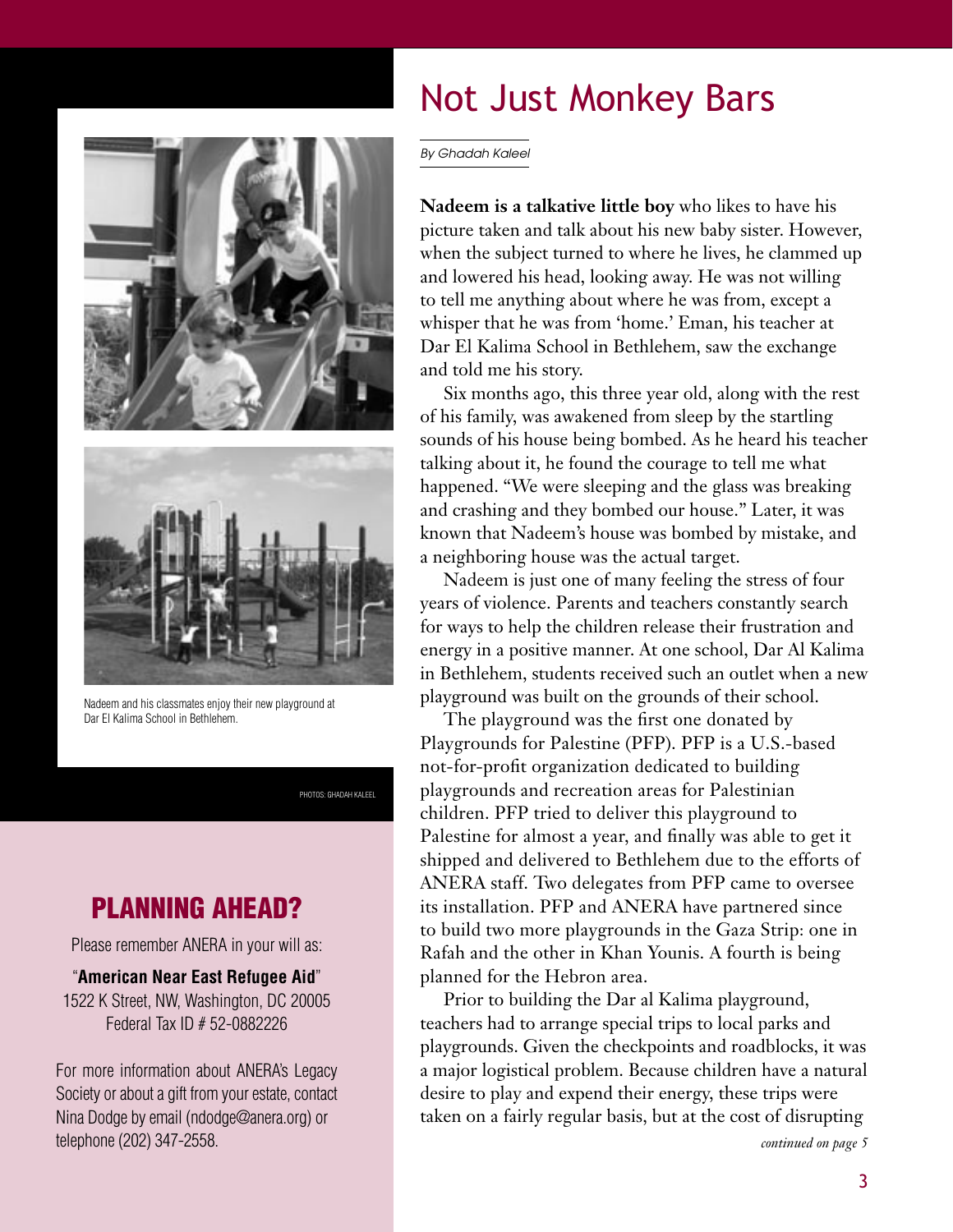



Nadeem and his classmates enjoy their new playground at Dar El Kalima School in Bethlehem.

PHOTOS: GHADAH KALEEL

### PLANNING AHEAD?

Please remember ANERA in your will as:

#### "**American Near East Refugee Aid**" 1522 K Street, NW, Washington, DC 20005 Federal Tax ID # 52-0882226

For more information about ANERA's Legacy Society or about a gift from your estate, contact Nina Dodge by email (ndodge@anera.org) or telephone (202) 347-2558.

## Not Just Monkey Bars

By Ghadah Kaleel

**Nadeem is a talkative little boy** who likes to have his picture taken and talk about his new baby sister. However, when the subject turned to where he lives, he clammed up and lowered his head, looking away. He was not willing to tell me anything about where he was from, except a whisper that he was from 'home.' Eman, his teacher at Dar El Kalima School in Bethlehem, saw the exchange and told me his story.

Six months ago, this three year old, along with the rest of his family, was awakened from sleep by the startling sounds of his house being bombed. As he heard his teacher talking about it, he found the courage to tell me what happened. "We were sleeping and the glass was breaking and crashing and they bombed our house." Later, it was known that Nadeem's house was bombed by mistake, and a neighboring house was the actual target.

Nadeem is just one of many feeling the stress of four years of violence. Parents and teachers constantly search for ways to help the children release their frustration and energy in a positive manner. At one school, Dar Al Kalima in Bethlehem, students received such an outlet when a new playground was built on the grounds of their school.

The playground was the first one donated by Playgrounds for Palestine (PFP). PFP is a U.S.-based not-for-profit organization dedicated to building playgrounds and recreation areas for Palestinian children. PFP tried to deliver this playground to Palestine for almost a year, and finally was able to get it shipped and delivered to Bethlehem due to the efforts of ANERA staff. Two delegates from PFP came to oversee its installation. PFP and ANERA have partnered since to build two more playgrounds in the Gaza Strip: one in Rafah and the other in Khan Younis. A fourth is being planned for the Hebron area.

Prior to building the Dar al Kalima playground, teachers had to arrange special trips to local parks and playgrounds. Given the checkpoints and roadblocks, it was a major logistical problem. Because children have a natural desire to play and expend their energy, these trips were taken on a fairly regular basis, but at the cost of disrupting

*continued on page 5*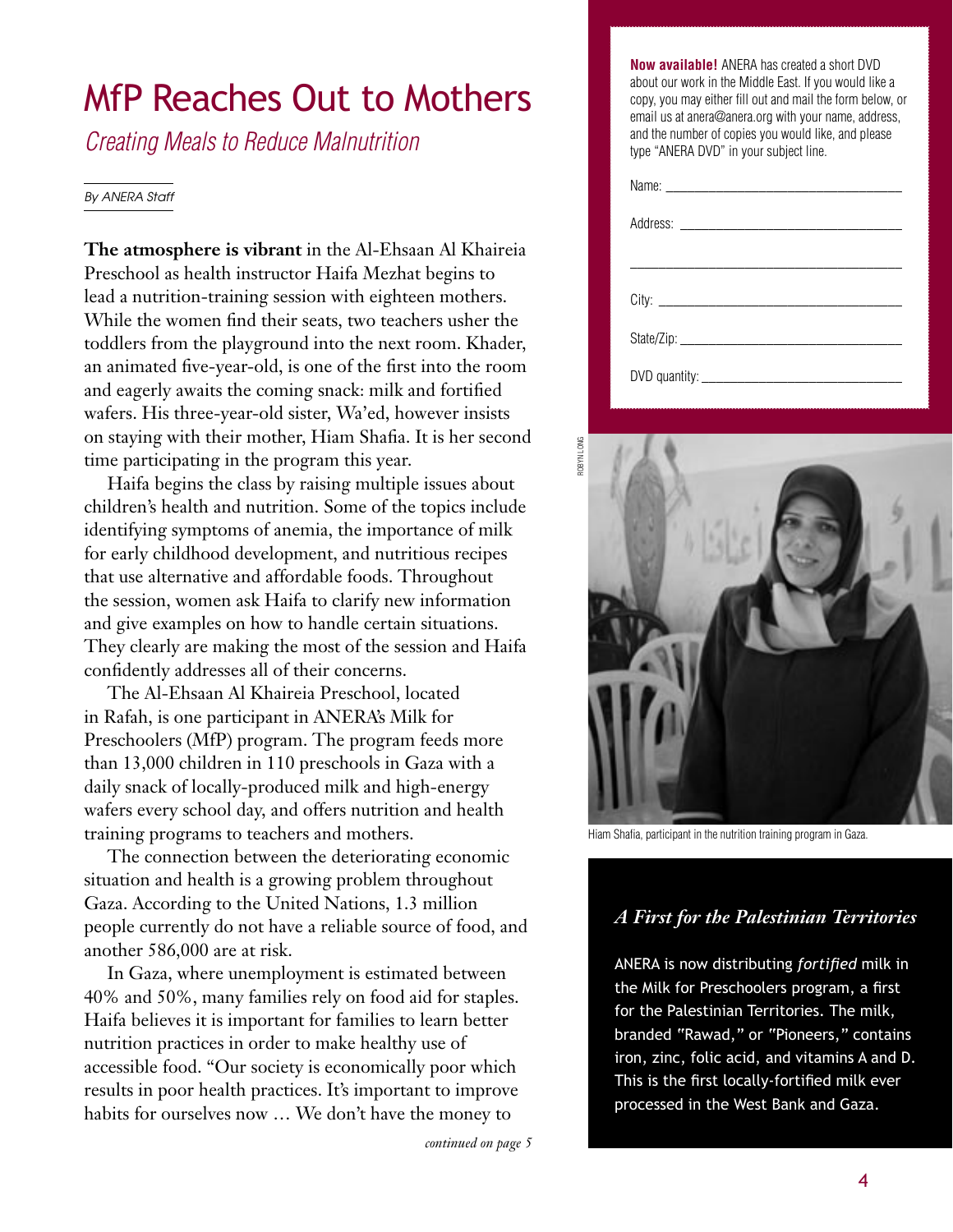## MfP Reaches Out to Mothers

Creating Meals to Reduce Malnutrition

#### By ANERA Staff

**The atmosphere is vibrant** in the Al-Ehsaan Al Khaireia Preschool as health instructor Haifa Mezhat begins to lead a nutrition-training session with eighteen mothers. While the women find their seats, two teachers usher the toddlers from the playground into the next room. Khader, an animated five-year-old, is one of the first into the room and eagerly awaits the coming snack: milk and fortified wafers. His three-year-old sister, Wa'ed, however insists on staying with their mother, Hiam Shafia. It is her second time participating in the program this year.

Haifa begins the class by raising multiple issues about children's health and nutrition. Some of the topics include identifying symptoms of anemia, the importance of milk for early childhood development, and nutritious recipes that use alternative and affordable foods. Throughout the session, women ask Haifa to clarify new information and give examples on how to handle certain situations. They clearly are making the most of the session and Haifa confidently addresses all of their concerns.

The Al-Ehsaan Al Khaireia Preschool, located in Rafah, is one participant in ANERA's Milk for Preschoolers (MfP) program. The program feeds more than 13,000 children in 110 preschools in Gaza with a daily snack of locally-produced milk and high-energy wafers every school day, and offers nutrition and health training programs to teachers and mothers.

The connection between the deteriorating economic situation and health is a growing problem throughout Gaza. According to the United Nations, 1.3 million people currently do not have a reliable source of food, and another 586,000 are at risk.

In Gaza, where unemployment is estimated between 40% and 50%, many families rely on food aid for staples. Haifa believes it is important for families to learn better nutrition practices in order to make healthy use of accessible food. "Our society is economically poor which results in poor health practices. It's important to improve habits for ourselves now … We don't have the money to

*continued on page 5*

**Now available!** ANERA has created a short DVD about our work in the Middle East. If you would like a copy, you may either fill out and mail the form below, or email us at anera@anera.org with your name, address, and the number of copies you would like, and please type "ANERA DVD" in your subject line.

ROBYN LONG



Hiam Shafia, participant in the nutrition training program in Gaza.

#### *A First for the Palestinian Territories*

ANERA is now distributing *fortified* milk in the Milk for Preschoolers program, a first for the Palestinian Territories. The milk, branded "Rawad," or "Pioneers," contains iron, zinc, folic acid, and vitamins A and D. This is the first locally-fortified milk ever processed in the West Bank and Gaza.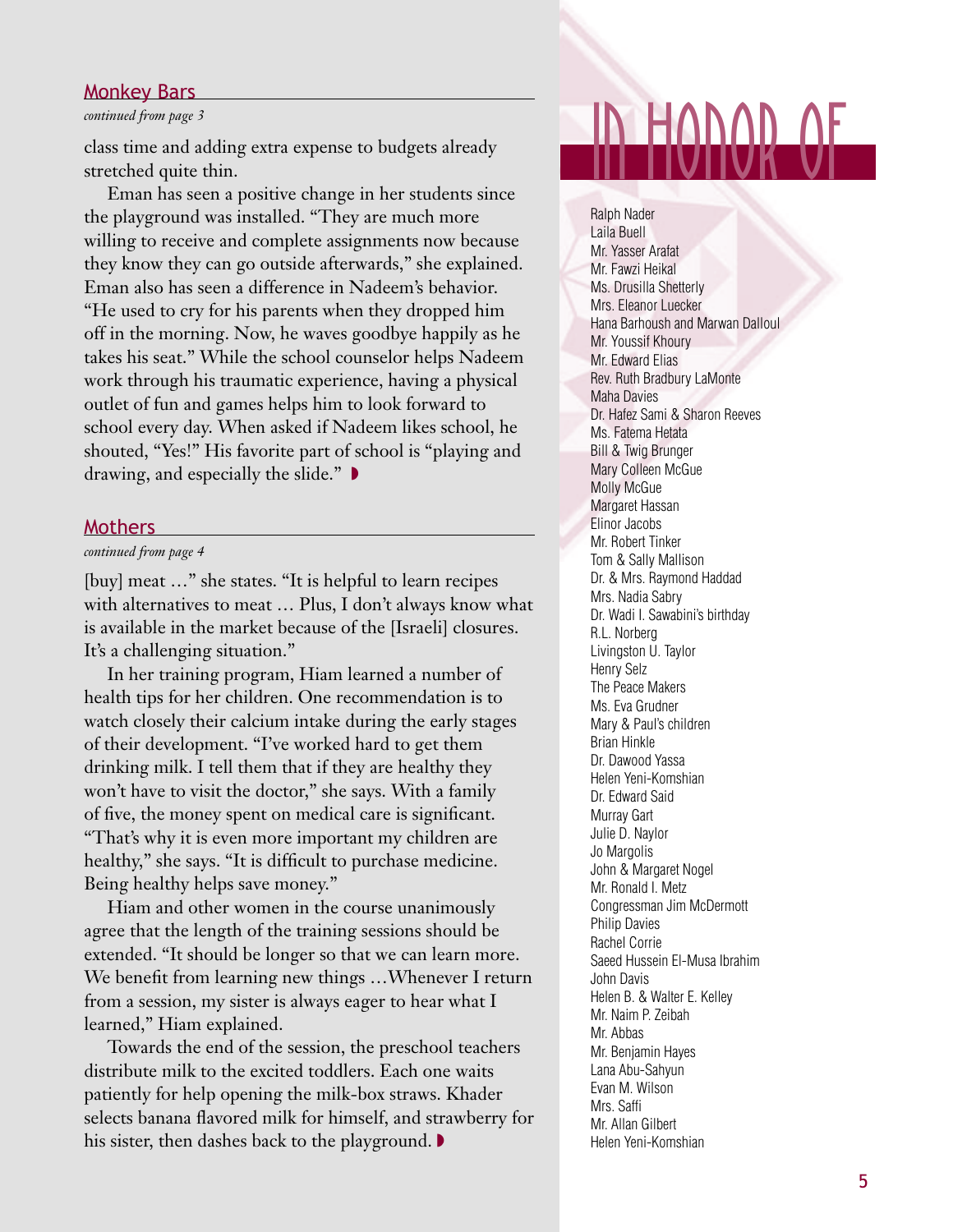#### Monkey Bars

#### *continued from page 3*

stretched quite thin.

Eman has seen a positive change in her students since the playground was installed. "They are much more willing to receive and complete assignments now because they know they can go outside afterwards," she explained. Eman also has seen a difference in Nadeem's behavior. "He used to cry for his parents when they dropped him off in the morning. Now, he waves goodbye happily as he takes his seat." While the school counselor helps Nadeem work through his traumatic experience, having a physical outlet of fun and games helps him to look forward to school every day. When asked if Nadeem likes school, he shouted, "Yes!" His favorite part of school is "playing and drawing, and especially the slide." ◗

#### **Mothers**

#### *continued from page 4*

[buy] meat …" she states. "It is helpful to learn recipes with alternatives to meat … Plus, I don't always know what is available in the market because of the [Israeli] closures. It's a challenging situation."

In her training program, Hiam learned a number of health tips for her children. One recommendation is to watch closely their calcium intake during the early stages of their development. "I've worked hard to get them drinking milk. I tell them that if they are healthy they won't have to visit the doctor," she says. With a family of five, the money spent on medical care is significant. "That's why it is even more important my children are healthy," she says. "It is difficult to purchase medicine. Being healthy helps save money."

Hiam and other women in the course unanimously agree that the length of the training sessions should be extended. "It should be longer so that we can learn more. We benefit from learning new things …Whenever I return from a session, my sister is always eager to hear what I learned," Hiam explained.

Towards the end of the session, the preschool teachers distribute milk to the excited toddlers. Each one waits patiently for help opening the milk-box straws. Khader selects banana flavored milk for himself, and strawberry for his sister, then dashes back to the playground. ▶

## Monkey Bars<br>
continued from page 3<br>
class time and adding extra expense to budgets already<br>
stretched quite thin.<br>
Fman has seen a positive change in her students since

Ralph Nader Laila Buell Mr. Yasser Arafat Mr. Fawzi Heikal Ms. Drusilla Shetterly Mrs. Eleanor Luecker Hana Barhoush and Marwan Dalloul Mr. Youssif Khoury Mr. Edward Elias Rev. Ruth Bradbury LaMonte Maha Davies Dr. Hafez Sami & Sharon Reeves Ms. Fatema Hetata Bill & Twig Brunger Mary Colleen McGue Molly McGue Margaret Hassan Elinor Jacobs Mr. Robert Tinker Tom & Sally Mallison Dr. & Mrs. Raymond Haddad Mrs. Nadia Sabry Dr. Wadi I. Sawabini's birthday R.L. Norberg Livingston U. Taylor Henry Selz The Peace Makers Ms. Eva Grudner Mary & Paul's children Brian Hinkle Dr. Dawood Yassa Helen Yeni-Komshian Dr. Edward Said Murray Gart Julie D. Naylor Jo Margolis John & Margaret Nogel Mr. Ronald I. Metz Congressman Jim McDermott Philip Davies Rachel Corrie Saeed Hussein El-Musa Ibrahim John Davis Helen B. & Walter E. Kelley Mr. Naim P. Zeibah Mr. Abbas Mr. Benjamin Hayes Lana Abu-Sahyun Evan M. Wilson Mrs. Saffi Mr. Allan Gilbert Helen Yeni-Komshian